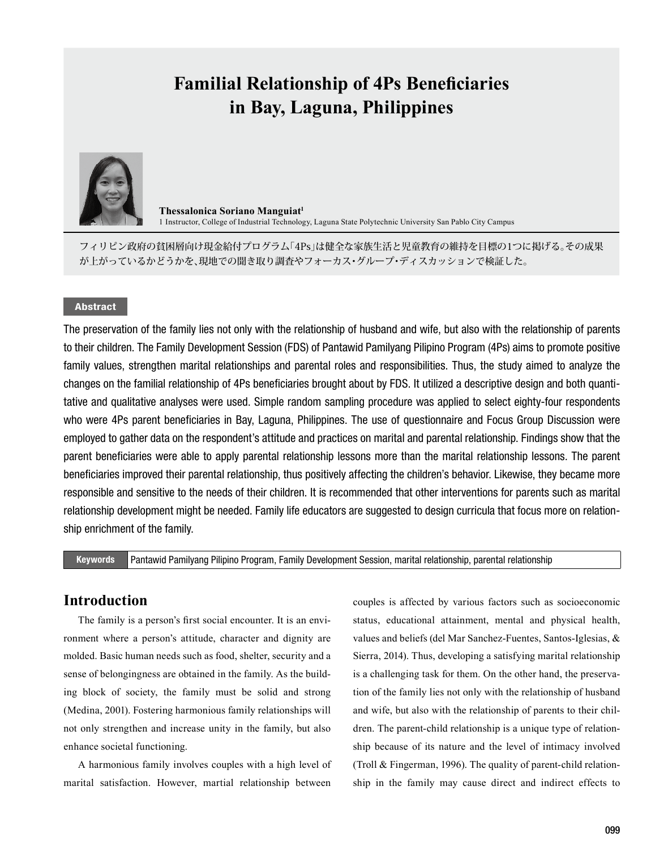# **Familial Relationship of 4Ps Beneficiaries in Bay, Laguna, Philippines**



**Thessalonica Soriano Manguiat1** 1 Instructor, College of Industrial Technology, Laguna State Polytechnic University San Pablo City Campus

フィリピン政府の貧困層向け現金給付プログラム「4Ps」は健全な家族生活と児童教育の維持を目標の1つに掲げる。その成果 が上がっているかどうかを、現地での聞き取り調査やフォーカス・グループ・ディスカッションで検証した。

### Abstract

The preservation of the family lies not only with the relationship of husband and wife, but also with the relationship of parents to their children. The Family Development Session (FDS) of Pantawid Pamilyang Pilipino Program (4Ps) aims to promote positive family values, strengthen marital relationships and parental roles and responsibilities. Thus, the study aimed to analyze the changes on the familial relationship of 4Ps beneficiaries brought about by FDS. It utilized a descriptive design and both quantitative and qualitative analyses were used. Simple random sampling procedure was applied to select eighty-four respondents who were 4Ps parent beneficiaries in Bay, Laguna, Philippines. The use of questionnaire and Focus Group Discussion were employed to gather data on the respondent's attitude and practices on marital and parental relationship. Findings show that the parent beneficiaries were able to apply parental relationship lessons more than the marital relationship lessons. The parent beneficiaries improved their parental relationship, thus positively affecting the children's behavior. Likewise, they became more responsible and sensitive to the needs of their children. It is recommended that other interventions for parents such as marital relationship development might be needed. Family life educators are suggested to design curricula that focus more on relationship enrichment of the family.

#### Keywords Pantawid Pamilyang Pilipino Program, Family Development Session, marital relationship, parental relationship

# **Introduction**

The family is a person's first social encounter. It is an environment where a person's attitude, character and dignity are molded. Basic human needs such as food, shelter, security and a sense of belongingness are obtained in the family. As the building block of society, the family must be solid and strong (Medina, 2001). Fostering harmonious family relationships will not only strengthen and increase unity in the family, but also enhance societal functioning.

A harmonious family involves couples with a high level of marital satisfaction. However, martial relationship between

couples is affected by various factors such as socioeconomic status, educational attainment, mental and physical health, values and beliefs (del Mar Sanchez-Fuentes, Santos-Iglesias, & Sierra, 2014). Thus, developing a satisfying marital relationship is a challenging task for them. On the other hand, the preservation of the family lies not only with the relationship of husband and wife, but also with the relationship of parents to their children. The parent-child relationship is a unique type of relationship because of its nature and the level of intimacy involved (Troll & Fingerman, 1996). The quality of parent-child relationship in the family may cause direct and indirect effects to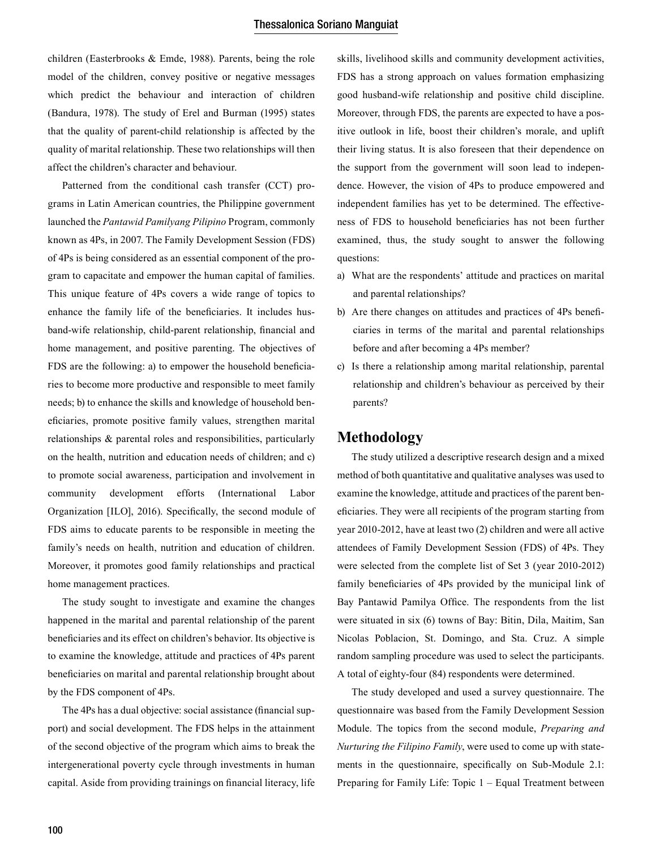children (Easterbrooks & Emde, 1988). Parents, being the role model of the children, convey positive or negative messages which predict the behaviour and interaction of children (Bandura, 1978). The study of Erel and Burman (1995) states that the quality of parent-child relationship is affected by the quality of marital relationship. These two relationships will then affect the children's character and behaviour.

Patterned from the conditional cash transfer (CCT) programs in Latin American countries, the Philippine government launched the *Pantawid Pamilyang Pilipino* Program, commonly known as 4Ps, in 2007. The Family Development Session (FDS) of 4Ps is being considered as an essential component of the program to capacitate and empower the human capital of families. This unique feature of 4Ps covers a wide range of topics to enhance the family life of the beneficiaries. It includes husband-wife relationship, child-parent relationship, financial and home management, and positive parenting. The objectives of FDS are the following: a) to empower the household beneficiaries to become more productive and responsible to meet family needs; b) to enhance the skills and knowledge of household beneficiaries, promote positive family values, strengthen marital relationships & parental roles and responsibilities, particularly on the health, nutrition and education needs of children; and c) to promote social awareness, participation and involvement in community development efforts (International Labor Organization [ILO], 2016). Specifically, the second module of FDS aims to educate parents to be responsible in meeting the family's needs on health, nutrition and education of children. Moreover, it promotes good family relationships and practical home management practices.

The study sought to investigate and examine the changes happened in the marital and parental relationship of the parent beneficiaries and its effect on children's behavior. Its objective is to examine the knowledge, attitude and practices of 4Ps parent beneficiaries on marital and parental relationship brought about by the FDS component of 4Ps.

The 4Ps has a dual objective: social assistance (financial support) and social development. The FDS helps in the attainment of the second objective of the program which aims to break the intergenerational poverty cycle through investments in human capital. Aside from providing trainings on financial literacy, life

skills, livelihood skills and community development activities, FDS has a strong approach on values formation emphasizing good husband-wife relationship and positive child discipline. Moreover, through FDS, the parents are expected to have a positive outlook in life, boost their children's morale, and uplift their living status. It is also foreseen that their dependence on the support from the government will soon lead to independence. However, the vision of 4Ps to produce empowered and independent families has yet to be determined. The effectiveness of FDS to household beneficiaries has not been further examined, thus, the study sought to answer the following questions:

- a) What are the respondents' attitude and practices on marital and parental relationships?
- b) Are there changes on attitudes and practices of 4Ps beneficiaries in terms of the marital and parental relationships before and after becoming a 4Ps member?
- c) Is there a relationship among marital relationship, parental relationship and children's behaviour as perceived by their parents?

### **Methodology**

The study utilized a descriptive research design and a mixed method of both quantitative and qualitative analyses was used to examine the knowledge, attitude and practices of the parent beneficiaries. They were all recipients of the program starting from year 2010-2012, have at least two (2) children and were all active attendees of Family Development Session (FDS) of 4Ps. They were selected from the complete list of Set 3 (year 2010-2012) family beneficiaries of 4Ps provided by the municipal link of Bay Pantawid Pamilya Office. The respondents from the list were situated in six (6) towns of Bay: Bitin, Dila, Maitim, San Nicolas Poblacion, St. Domingo, and Sta. Cruz. A simple random sampling procedure was used to select the participants. A total of eighty-four (84) respondents were determined.

The study developed and used a survey questionnaire. The questionnaire was based from the Family Development Session Module. The topics from the second module, *Preparing and Nurturing the Filipino Family*, were used to come up with statements in the questionnaire, specifically on Sub-Module 2.1: Preparing for Family Life: Topic 1 – Equal Treatment between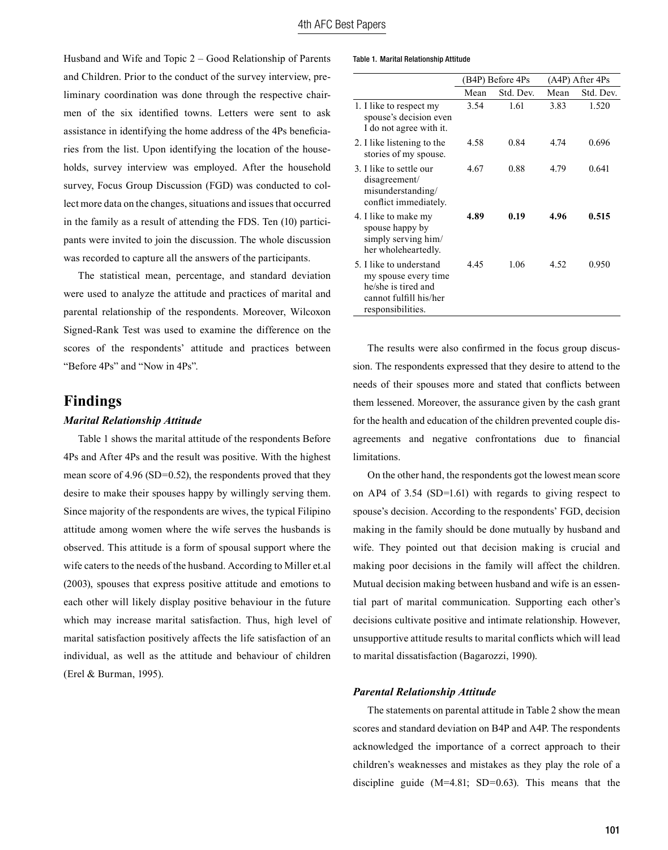Husband and Wife and Topic 2 – Good Relationship of Parents and Children. Prior to the conduct of the survey interview, preliminary coordination was done through the respective chairmen of the six identified towns. Letters were sent to ask assistance in identifying the home address of the 4Ps beneficiaries from the list. Upon identifying the location of the households, survey interview was employed. After the household survey, Focus Group Discussion (FGD) was conducted to collect more data on the changes, situations and issues that occurred in the family as a result of attending the FDS. Ten (10) participants were invited to join the discussion. The whole discussion was recorded to capture all the answers of the participants.

The statistical mean, percentage, and standard deviation were used to analyze the attitude and practices of marital and parental relationship of the respondents. Moreover, Wilcoxon Signed-Rank Test was used to examine the difference on the scores of the respondents' attitude and practices between "Before 4Ps" and "Now in 4Ps".

## **Findings**

#### *Marital Relationship Attitude*

Table 1 shows the marital attitude of the respondents Before 4Ps and After 4Ps and the result was positive. With the highest mean score of 4.96 (SD=0.52), the respondents proved that they desire to make their spouses happy by willingly serving them. Since majority of the respondents are wives, the typical Filipino attitude among women where the wife serves the husbands is observed. This attitude is a form of spousal support where the wife caters to the needs of the husband. According to Miller et.al (2003), spouses that express positive attitude and emotions to each other will likely display positive behaviour in the future which may increase marital satisfaction. Thus, high level of marital satisfaction positively affects the life satisfaction of an individual, as well as the attitude and behaviour of children (Erel & Burman, 1995).

#### Table 1. Marital Relationship Attitude

|                                                                                                                       | (B4P) Before 4Ps |           | (A4P) After 4Ps |           |
|-----------------------------------------------------------------------------------------------------------------------|------------------|-----------|-----------------|-----------|
|                                                                                                                       | Mean             | Std. Dev. | Mean            | Std. Dev. |
| 1. I like to respect my<br>spouse's decision even<br>I do not agree with it.                                          | 3.54             | 1.61      | 3.83            | 1.520     |
| 2. I like listening to the<br>stories of my spouse.                                                                   | 4.58             | 0.84      | 4.74            | 0.696     |
| 3. I like to settle our<br>disagreement/<br>misunderstanding/<br>conflict immediately.                                | 4.67             | 0.88      | 4.79            | 0.641     |
| 4. I like to make my<br>spouse happy by<br>simply serving him/<br>her wholeheartedly.                                 | 4.89             | 0.19      | 4.96            | 0.515     |
| 5. I like to understand<br>my spouse every time<br>he/she is tired and<br>cannot fulfill his/her<br>responsibilities. | 445              | 106       | 4.52            | 0.950     |

The results were also confirmed in the focus group discussion. The respondents expressed that they desire to attend to the needs of their spouses more and stated that conflicts between them lessened. Moreover, the assurance given by the cash grant for the health and education of the children prevented couple disagreements and negative confrontations due to financial limitations.

On the other hand, the respondents got the lowest mean score on AP4 of 3.54 (SD=1.61) with regards to giving respect to spouse's decision. According to the respondents' FGD, decision making in the family should be done mutually by husband and wife. They pointed out that decision making is crucial and making poor decisions in the family will affect the children. Mutual decision making between husband and wife is an essential part of marital communication. Supporting each other's decisions cultivate positive and intimate relationship. However, unsupportive attitude results to marital conflicts which will lead to marital dissatisfaction (Bagarozzi, 1990).

#### *Parental Relationship Attitude*

The statements on parental attitude in Table 2 show the mean scores and standard deviation on B4P and A4P. The respondents acknowledged the importance of a correct approach to their children's weaknesses and mistakes as they play the role of a discipline guide (M=4.81; SD=0.63). This means that the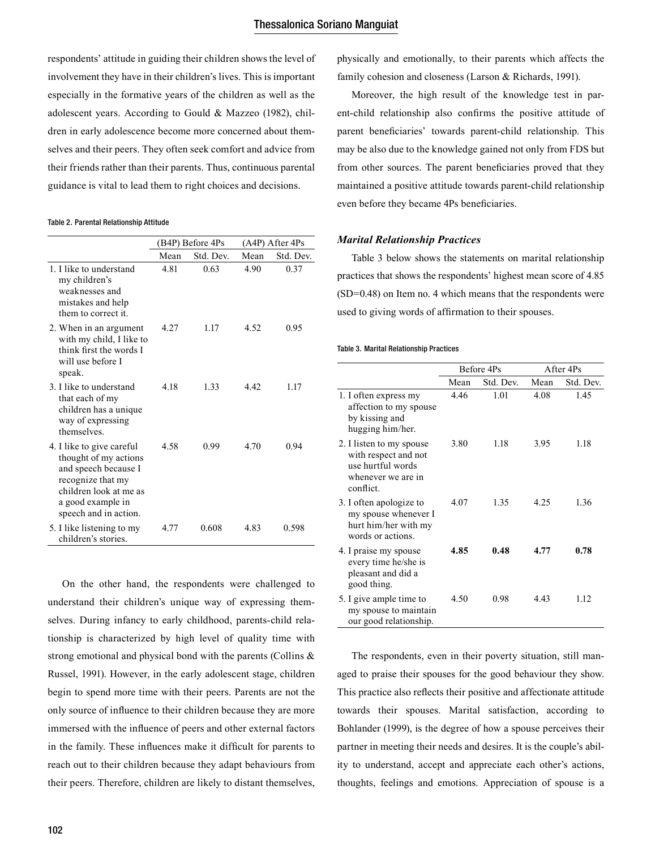respondents' attitude in guiding their children shows the level of involvement they have in their children's lives. This is important especially in the formative years of the children as well as the adolescent years. According to Gould & Mazzeo (1982), children in early adolescence become more concerned about themselves and their peers. They often seek comfort and advice from their friends rather than their parents. Thus, continuous parental guidance is vital to lead them to right choices and decisions.

#### Table 2. Parental Relationship Attitude

|                                                                                                                                                                         | (B4P) Before 4Ps |           | (A4P) After 4Ps |           |
|-------------------------------------------------------------------------------------------------------------------------------------------------------------------------|------------------|-----------|-----------------|-----------|
|                                                                                                                                                                         | Mean             | Std. Dev. | Mean            | Std. Dev. |
| 1 I like to understand<br>my children's<br>weaknesses and<br>mistakes and help<br>them to correct it.                                                                   | 4.81             | 0.63      | 4.90            | 0.37      |
| 2. When in an argument<br>with my child, I like to<br>think first the words I<br>will use before I<br>speak.                                                            | 4 2 7            | 1 1 7     | 4.52            | 0.95      |
| 3. I like to understand<br>that each of my<br>children has a unique<br>way of expressing<br>themselves                                                                  | 4 1 8            | 133       | 4.42            | 1 17      |
| 4. I like to give careful<br>thought of my actions<br>and speech because I<br>recognize that my<br>children look at me as<br>a good example in<br>speech and in action. | 4.58             | 0.99      | 4.70            | 0.94      |
| 5. I like listening to my<br>children's stories.                                                                                                                        | 4.77             | 0.608     | 4.83            | 0.598     |

On the other hand, the respondents were challenged to understand their children's unique way of expressing themselves. During infancy to early childhood, parents-child relationship is characterized by high level of quality time with strong emotional and physical bond with the parents (Collins & Russel, 1991). However, in the early adolescent stage, children begin to spend more time with their peers. Parents are not the only source of influence to their children because they are more immersed with the influence of peers and other external factors in the family. These influences make it difficult for parents to reach out to their children because they adapt behaviours from their peers. Therefore, children are likely to distant themselves,

physically and emotionally, to their parents which affects the family cohesion and closeness (Larson & Richards, 1991).

Moreover, the high result of the knowledge test in parent-child relationship also confirms the positive attitude of parent beneficiaries' towards parent-child relationship. This may be also due to the knowledge gained not only from FDS but from other sources. The parent beneficiaries proved that they maintained a positive attitude towards parent-child relationship even before they became 4Ps beneficiaries.

#### *Marital Relationship Practices*

Table 3 below shows the statements on marital relationship practices that shows the respondents' highest mean score of 4.85 (SD=0.48) on Item no. 4 which means that the respondents were used to giving words of affirmation to their spouses.

#### Table 3. Marital Relationship Practices

|                                                                                                         | Before 4Ps |           |      | After 4Ps |
|---------------------------------------------------------------------------------------------------------|------------|-----------|------|-----------|
|                                                                                                         | Mean       | Std. Dev. | Mean | Std. Dev. |
| 1. I often express my<br>affection to my spouse<br>by kissing and<br>hugging him/her.                   | 4.46       | 1.01      | 4.08 | 1.45      |
| 2. I listen to my spouse<br>with respect and not<br>use hurtful words<br>whenever we are in<br>conflict | 3.80       | 1 1 8     | 3.95 | 1 1 8     |
| 3. I often apologize to<br>my spouse whenever I<br>hurt him/her with my<br>words or actions.            | 4.07       | 1.35      | 4.25 | 136       |
| 4. I praise my spouse<br>every time he/she is<br>pleasant and did a<br>good thing.                      | 4.85       | 0.48      | 4.77 | 0.78      |
| 5. I give ample time to<br>my spouse to maintain<br>our good relationship.                              | 4.50       | 0.98      | 443  | 1 1 2     |

The respondents, even in their poverty situation, still managed to praise their spouses for the good behaviour they show. This practice also reflects their positive and affectionate attitude towards their spouses. Marital satisfaction, according to Bohlander (1999), is the degree of how a spouse perceives their partner in meeting their needs and desires. It is the couple's ability to understand, accept and appreciate each other's actions, thoughts, feelings and emotions. Appreciation of spouse is a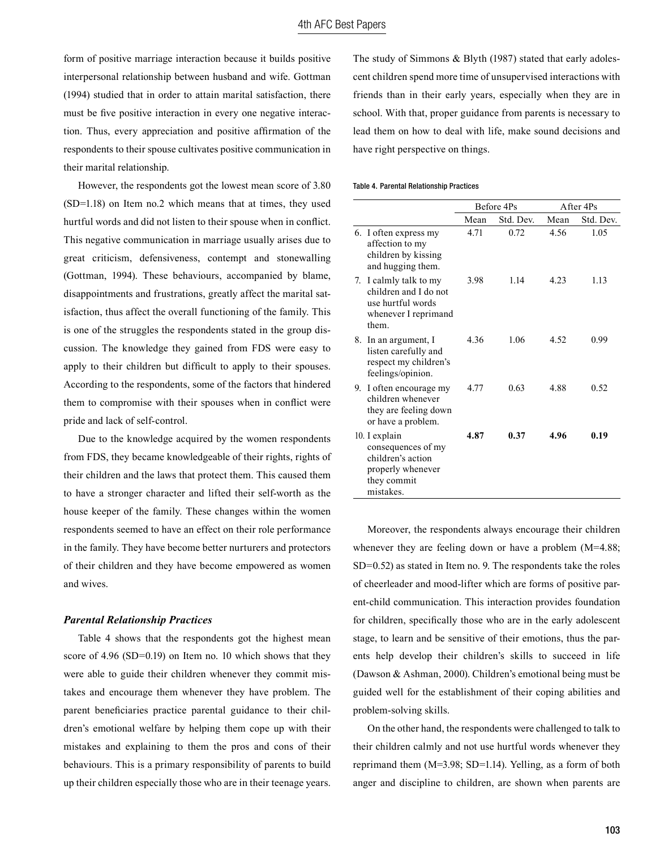form of positive marriage interaction because it builds positive interpersonal relationship between husband and wife. Gottman (1994) studied that in order to attain marital satisfaction, there must be five positive interaction in every one negative interaction. Thus, every appreciation and positive affirmation of the respondents to their spouse cultivates positive communication in their marital relationship.

However, the respondents got the lowest mean score of 3.80 (SD=1.18) on Item no.2 which means that at times, they used hurtful words and did not listen to their spouse when in conflict. This negative communication in marriage usually arises due to great criticism, defensiveness, contempt and stonewalling (Gottman, 1994). These behaviours, accompanied by blame, disappointments and frustrations, greatly affect the marital satisfaction, thus affect the overall functioning of the family. This is one of the struggles the respondents stated in the group discussion. The knowledge they gained from FDS were easy to apply to their children but difficult to apply to their spouses. According to the respondents, some of the factors that hindered them to compromise with their spouses when in conflict were pride and lack of self-control.

Due to the knowledge acquired by the women respondents from FDS, they became knowledgeable of their rights, rights of their children and the laws that protect them. This caused them to have a stronger character and lifted their self-worth as the house keeper of the family. These changes within the women respondents seemed to have an effect on their role performance in the family. They have become better nurturers and protectors of their children and they have become empowered as women and wives.

#### *Parental Relationship Practices*

Table 4 shows that the respondents got the highest mean score of 4.96 (SD=0.19) on Item no. 10 which shows that they were able to guide their children whenever they commit mistakes and encourage them whenever they have problem. The parent beneficiaries practice parental guidance to their children's emotional welfare by helping them cope up with their mistakes and explaining to them the pros and cons of their behaviours. This is a primary responsibility of parents to build up their children especially those who are in their teenage years.

The study of Simmons & Blyth (1987) stated that early adolescent children spend more time of unsupervised interactions with friends than in their early years, especially when they are in school. With that, proper guidance from parents is necessary to lead them on how to deal with life, make sound decisions and have right perspective on things.

#### Table 4. Parental Relationship Practices

|    |                                                                                                          | Before 4Ps |           | After 4Ps |           |
|----|----------------------------------------------------------------------------------------------------------|------------|-----------|-----------|-----------|
|    |                                                                                                          | Mean       | Std. Dev. | Mean      | Std. Dev. |
|    | 6. I often express my<br>affection to my<br>children by kissing<br>and hugging them.                     | 4.71       | 0.72      | 4.56      | 1.05      |
| 7. | I calmly talk to my<br>children and I do not<br>use hurtful words<br>whenever I reprimand<br>them.       | 3.98       | 1 1 4     | 4.23      | 1 1 3     |
| 8. | In an argument, I<br>listen carefully and<br>respect my children's<br>feelings/opinion.                  | 436        | 1.06      | 4.52      | 0.99      |
| 9. | I often encourage my<br>children whenever<br>they are feeling down<br>or have a problem.                 | 477        | 0.63      | 488       | 0.52      |
|    | 10. I explain<br>consequences of my<br>children's action<br>properly whenever<br>they commit<br>mistakes | 4.87       | 0.37      | 4.96      | 0.19      |

Moreover, the respondents always encourage their children whenever they are feeling down or have a problem  $(M=4.88)$ ; SD=0.52) as stated in Item no. 9. The respondents take the roles of cheerleader and mood-lifter which are forms of positive parent-child communication. This interaction provides foundation for children, specifically those who are in the early adolescent stage, to learn and be sensitive of their emotions, thus the parents help develop their children's skills to succeed in life (Dawson & Ashman, 2000). Children's emotional being must be guided well for the establishment of their coping abilities and problem-solving skills.

On the other hand, the respondents were challenged to talk to their children calmly and not use hurtful words whenever they reprimand them (M=3.98; SD=1.14). Yelling, as a form of both anger and discipline to children, are shown when parents are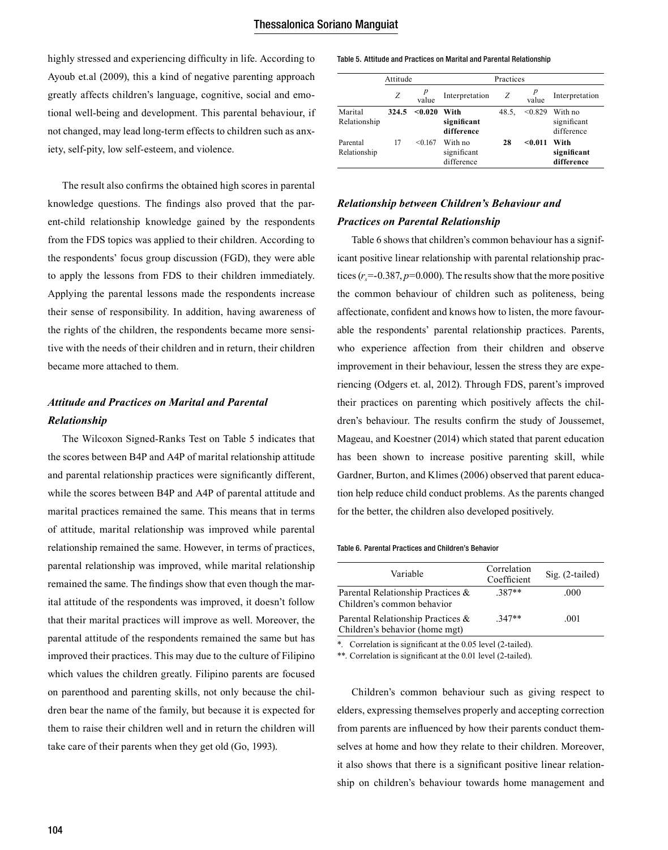highly stressed and experiencing difficulty in life. According to Ayoub et.al (2009), this a kind of negative parenting approach greatly affects children's language, cognitive, social and emotional well-being and development. This parental behaviour, if not changed, may lead long-term effects to children such as anxiety, self-pity, low self-esteem, and violence.

The result also confirms the obtained high scores in parental knowledge questions. The findings also proved that the parent-child relationship knowledge gained by the respondents from the FDS topics was applied to their children. According to the respondents' focus group discussion (FGD), they were able to apply the lessons from FDS to their children immediately. Applying the parental lessons made the respondents increase their sense of responsibility. In addition, having awareness of the rights of the children, the respondents became more sensitive with the needs of their children and in return, their children became more attached to them.

## *Attitude and Practices on Marital and Parental Relationship*

The Wilcoxon Signed-Ranks Test on Table 5 indicates that the scores between B4P and A4P of marital relationship attitude and parental relationship practices were significantly different, while the scores between B4P and A4P of parental attitude and marital practices remained the same. This means that in terms of attitude, marital relationship was improved while parental relationship remained the same. However, in terms of practices, parental relationship was improved, while marital relationship remained the same. The findings show that even though the marital attitude of the respondents was improved, it doesn't follow that their marital practices will improve as well. Moreover, the parental attitude of the respondents remained the same but has improved their practices. This may due to the culture of Filipino which values the children greatly. Filipino parents are focused on parenthood and parenting skills, not only because the children bear the name of the family, but because it is expected for them to raise their children well and in return the children will take care of their parents when they get old (Go, 1993).

#### Table 5. Attitude and Practices on Marital and Parental Relationship

|                          | Attitude |         |                                      | Practices |         |                                      |
|--------------------------|----------|---------|--------------------------------------|-----------|---------|--------------------------------------|
|                          | Z        | value   | Interpretation                       | Ζ         | value   | Interpretation                       |
| Marital<br>Relationship  | 324.5    | < 0.020 | With<br>significant<br>difference    | 48.5.     | < 0.829 | With no<br>significant<br>difference |
| Parental<br>Relationship | 17       | < 0.167 | With no<br>significant<br>difference | 28        | < 0.011 | With<br>significant<br>difference    |

### *Relationship between Children's Behaviour and Practices on Parental Relationship*

Table 6 shows that children's common behaviour has a significant positive linear relationship with parental relationship practices  $(r_s = -0.387, p = 0.000)$ . The results show that the more positive the common behaviour of children such as politeness, being affectionate, confident and knows how to listen, the more favourable the respondents' parental relationship practices. Parents, who experience affection from their children and observe improvement in their behaviour, lessen the stress they are experiencing (Odgers et. al, 2012). Through FDS, parent's improved their practices on parenting which positively affects the children's behaviour. The results confirm the study of Joussemet, Mageau, and Koestner (2014) which stated that parent education has been shown to increase positive parenting skill, while Gardner, Burton, and Klimes (2006) observed that parent education help reduce child conduct problems. As the parents changed for the better, the children also developed positively.

#### Table 6. Parental Practices and Children's Behavior

| Variable                                                            | Correlation<br>Coefficient | $Sig. (2-tailed)$ |
|---------------------------------------------------------------------|----------------------------|-------------------|
| Parental Relationship Practices &<br>Children's common behavior     | $.387**$                   | .000              |
| Parental Relationship Practices &<br>Children's behavior (home mgt) | $347**$                    | .001              |

\*. Correlation is significant at the 0.05 level (2-tailed).

\*\*. Correlation is significant at the 0.01 level (2-tailed).

Children's common behaviour such as giving respect to elders, expressing themselves properly and accepting correction from parents are influenced by how their parents conduct themselves at home and how they relate to their children. Moreover, it also shows that there is a significant positive linear relationship on children's behaviour towards home management and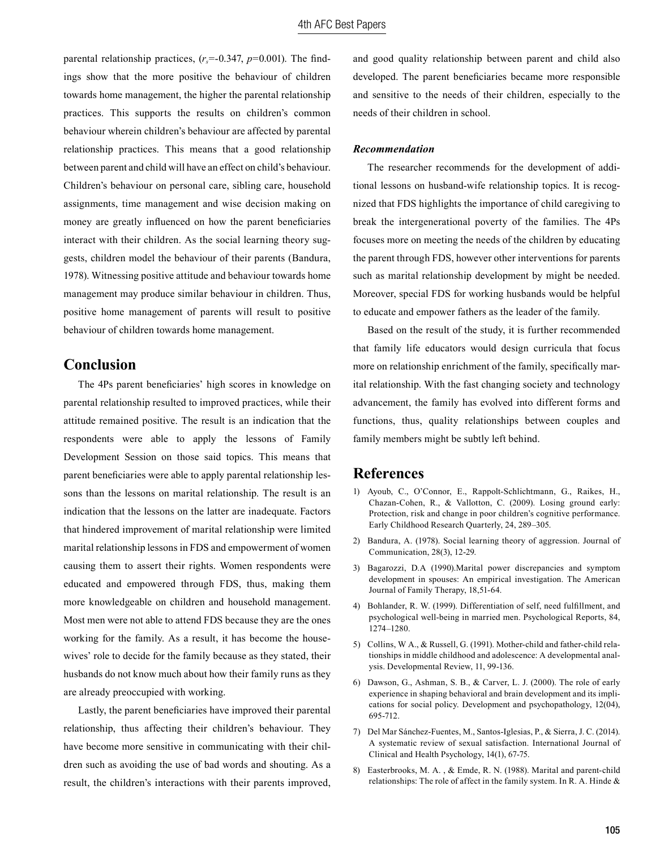parental relationship practices,  $(r<sub>s</sub>=-0.347, p=0.001)$ . The findings show that the more positive the behaviour of children towards home management, the higher the parental relationship practices. This supports the results on children's common behaviour wherein children's behaviour are affected by parental relationship practices. This means that a good relationship between parent and child will have an effect on child's behaviour. Children's behaviour on personal care, sibling care, household assignments, time management and wise decision making on money are greatly influenced on how the parent beneficiaries interact with their children. As the social learning theory suggests, children model the behaviour of their parents (Bandura, 1978). Witnessing positive attitude and behaviour towards home management may produce similar behaviour in children. Thus, positive home management of parents will result to positive behaviour of children towards home management.

# **Conclusion**

The 4Ps parent beneficiaries' high scores in knowledge on parental relationship resulted to improved practices, while their attitude remained positive. The result is an indication that the respondents were able to apply the lessons of Family Development Session on those said topics. This means that parent beneficiaries were able to apply parental relationship lessons than the lessons on marital relationship. The result is an indication that the lessons on the latter are inadequate. Factors that hindered improvement of marital relationship were limited marital relationship lessons in FDS and empowerment of women causing them to assert their rights. Women respondents were educated and empowered through FDS, thus, making them more knowledgeable on children and household management. Most men were not able to attend FDS because they are the ones working for the family. As a result, it has become the housewives' role to decide for the family because as they stated, their husbands do not know much about how their family runs as they are already preoccupied with working.

Lastly, the parent beneficiaries have improved their parental relationship, thus affecting their children's behaviour. They have become more sensitive in communicating with their children such as avoiding the use of bad words and shouting. As a result, the children's interactions with their parents improved, and good quality relationship between parent and child also developed. The parent beneficiaries became more responsible and sensitive to the needs of their children, especially to the needs of their children in school.

#### *Recommendation*

The researcher recommends for the development of additional lessons on husband-wife relationship topics. It is recognized that FDS highlights the importance of child caregiving to break the intergenerational poverty of the families. The 4Ps focuses more on meeting the needs of the children by educating the parent through FDS, however other interventions for parents such as marital relationship development by might be needed. Moreover, special FDS for working husbands would be helpful to educate and empower fathers as the leader of the family.

Based on the result of the study, it is further recommended that family life educators would design curricula that focus more on relationship enrichment of the family, specifically marital relationship. With the fast changing society and technology advancement, the family has evolved into different forms and functions, thus, quality relationships between couples and family members might be subtly left behind.

### **References**

- 1) Ayoub, C., O'Connor, E., Rappolt-Schlichtmann, G., Raikes, H., Chazan-Cohen, R., & Vallotton, C. (2009). Losing ground early: Protection, risk and change in poor children's cognitive performance. Early Childhood Research Quarterly, 24, 289–305.
- 2) Bandura, A. (1978). Social learning theory of aggression. Journal of Communication, 28(3), 12-29.
- 3) Bagarozzi, D.A (1990).Marital power discrepancies and symptom development in spouses: An empirical investigation. The American Journal of Family Therapy, 18,51-64.
- 4) Bohlander, R. W. (1999). Differentiation of self, need fulfillment, and psychological well-being in married men. Psychological Reports, 84, 1274–1280.
- 5) Collins, W A., & Russell, G. (1991). Mother-child and father-child relationships in middle childhood and adolescence: A developmental analysis. Developmental Review, 11, 99-136.
- 6) Dawson, G., Ashman, S. B., & Carver, L. J. (2000). The role of early experience in shaping behavioral and brain development and its implications for social policy. Development and psychopathology, 12(04), 695-712.
- 7) Del Mar Sánchez-Fuentes, M., Santos-Iglesias, P., & Sierra, J. C. (2014). A systematic review of sexual satisfaction. International Journal of Clinical and Health Psychology, 14(1), 67-75.
- 8) Easterbrooks, M. A. , & Emde, R. N. (1988). Marital and parent-child relationships: The role of affect in the family system. In R. A. Hinde &